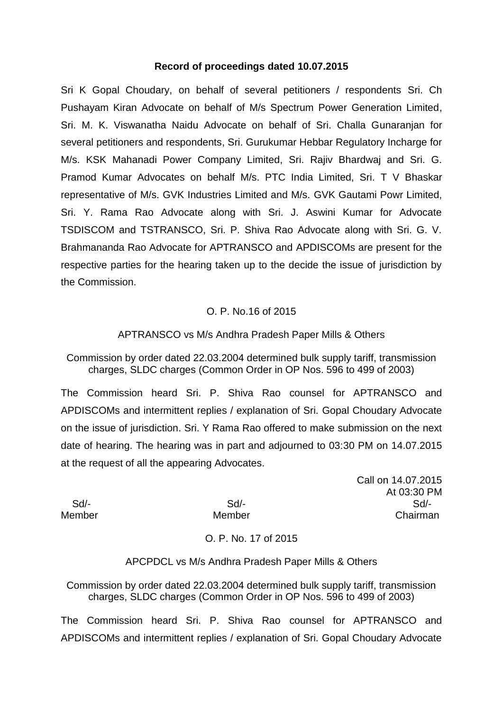#### **Record of proceedings dated 10.07.2015**

Sri K Gopal Choudary, on behalf of several petitioners / respondents Sri. Ch Pushayam Kiran Advocate on behalf of M/s Spectrum Power Generation Limited, Sri. M. K. Viswanatha Naidu Advocate on behalf of Sri. Challa Gunaranjan for several petitioners and respondents, Sri. Gurukumar Hebbar Regulatory Incharge for M/s. KSK Mahanadi Power Company Limited, Sri. Rajiv Bhardwaj and Sri. G. Pramod Kumar Advocates on behalf M/s. PTC India Limited, Sri. T V Bhaskar representative of M/s. GVK Industries Limited and M/s. GVK Gautami Powr Limited, Sri. Y. Rama Rao Advocate along with Sri. J. Aswini Kumar for Advocate TSDISCOM and TSTRANSCO, Sri. P. Shiva Rao Advocate along with Sri. G. V. Brahmananda Rao Advocate for APTRANSCO and APDISCOMs are present for the respective parties for the hearing taken up to the decide the issue of jurisdiction by the Commission.

## O. P. No.16 of 2015

#### APTRANSCO vs M/s Andhra Pradesh Paper Mills & Others

Commission by order dated 22.03.2004 determined bulk supply tariff, transmission charges, SLDC charges (Common Order in OP Nos. 596 to 499 of 2003)

The Commission heard Sri. P. Shiva Rao counsel for APTRANSCO and APDISCOMs and intermittent replies / explanation of Sri. Gopal Choudary Advocate on the issue of jurisdiction. Sri. Y Rama Rao offered to make submission on the next date of hearing. The hearing was in part and adjourned to 03:30 PM on 14.07.2015 at the request of all the appearing Advocates.

Call on 14.07.2015 At 03:30 PM Sd/- Sd/- Sd/- Member Member Chairman

## O. P. No. 17 of 2015

#### APCPDCL vs M/s Andhra Pradesh Paper Mills & Others

Commission by order dated 22.03.2004 determined bulk supply tariff, transmission charges, SLDC charges (Common Order in OP Nos. 596 to 499 of 2003)

The Commission heard Sri. P. Shiva Rao counsel for APTRANSCO and APDISCOMs and intermittent replies / explanation of Sri. Gopal Choudary Advocate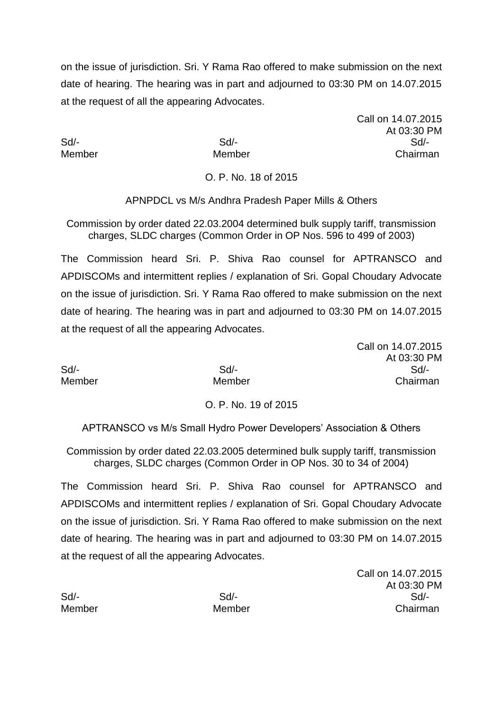on the issue of jurisdiction. Sri. Y Rama Rao offered to make submission on the next date of hearing. The hearing was in part and adjourned to 03:30 PM on 14.07.2015 at the request of all the appearing Advocates.

Call on 14.07.2015 At 03:30 PM Sd/- Sd/- Sd/- Member Member Chairman

Call on 14.07.2015

At 03:30 PM

O. P. No. 18 of 2015

APNPDCL vs M/s Andhra Pradesh Paper Mills & Others

Commission by order dated 22.03.2004 determined bulk supply tariff, transmission charges, SLDC charges (Common Order in OP Nos. 596 to 499 of 2003)

The Commission heard Sri. P. Shiva Rao counsel for APTRANSCO and APDISCOMs and intermittent replies / explanation of Sri. Gopal Choudary Advocate on the issue of jurisdiction. Sri. Y Rama Rao offered to make submission on the next date of hearing. The hearing was in part and adjourned to 03:30 PM on 14.07.2015 at the request of all the appearing Advocates.

Sd/- Sd/- Sd/- Member Member Chairman

O. P. No. 19 of 2015

APTRANSCO vs M/s Small Hydro Power Developers' Association & Others

Commission by order dated 22.03.2005 determined bulk supply tariff, transmission charges, SLDC charges (Common Order in OP Nos. 30 to 34 of 2004)

The Commission heard Sri. P. Shiva Rao counsel for APTRANSCO and APDISCOMs and intermittent replies / explanation of Sri. Gopal Choudary Advocate on the issue of jurisdiction. Sri. Y Rama Rao offered to make submission on the next date of hearing. The hearing was in part and adjourned to 03:30 PM on 14.07.2015 at the request of all the appearing Advocates.

Sd/- Sd/- Sd/- Member Member Chairman

Call on 14.07.2015 At 03:30 PM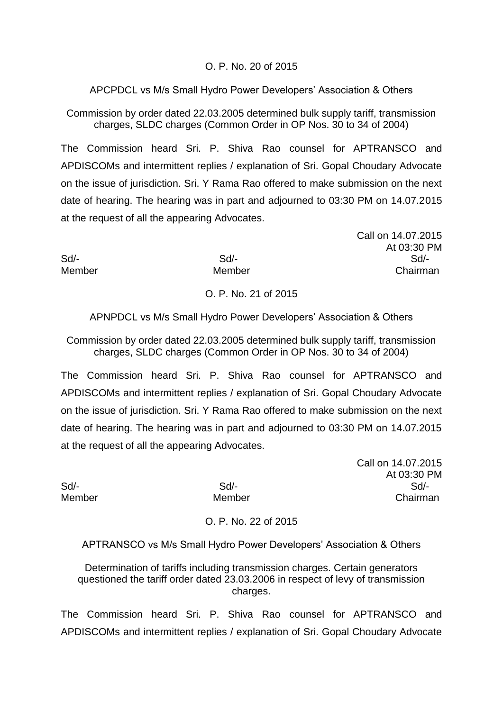## O. P. No. 20 of 2015

## APCPDCL vs M/s Small Hydro Power Developers' Association & Others

Commission by order dated 22.03.2005 determined bulk supply tariff, transmission charges, SLDC charges (Common Order in OP Nos. 30 to 34 of 2004)

The Commission heard Sri. P. Shiva Rao counsel for APTRANSCO and APDISCOMs and intermittent replies / explanation of Sri. Gopal Choudary Advocate on the issue of jurisdiction. Sri. Y Rama Rao offered to make submission on the next date of hearing. The hearing was in part and adjourned to 03:30 PM on 14.07.2015 at the request of all the appearing Advocates.

Call on 14.07.2015 At 03:30 PM Sd/- Sd/- Sd/- Member Member Chairman

## O. P. No. 21 of 2015

APNPDCL vs M/s Small Hydro Power Developers' Association & Others

Commission by order dated 22.03.2005 determined bulk supply tariff, transmission charges, SLDC charges (Common Order in OP Nos. 30 to 34 of 2004)

The Commission heard Sri. P. Shiva Rao counsel for APTRANSCO and APDISCOMs and intermittent replies / explanation of Sri. Gopal Choudary Advocate on the issue of jurisdiction. Sri. Y Rama Rao offered to make submission on the next date of hearing. The hearing was in part and adjourned to 03:30 PM on 14.07.2015 at the request of all the appearing Advocates.

Call on 14.07.2015 At 03:30 PM Sd/- Sd/- Sd/- Member Member Chairman

O. P. No. 22 of 2015

APTRANSCO vs M/s Small Hydro Power Developers' Association & Others

Determination of tariffs including transmission charges. Certain generators questioned the tariff order dated 23.03.2006 in respect of levy of transmission charges.

The Commission heard Sri. P. Shiva Rao counsel for APTRANSCO and APDISCOMs and intermittent replies / explanation of Sri. Gopal Choudary Advocate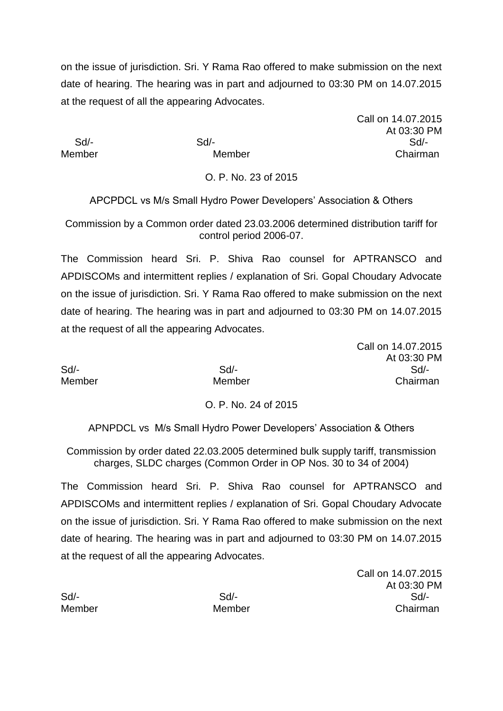on the issue of jurisdiction. Sri. Y Rama Rao offered to make submission on the next date of hearing. The hearing was in part and adjourned to 03:30 PM on 14.07.2015 at the request of all the appearing Advocates.

Call on 14.07.2015 At 03:30 PM Sd/- Sd/- Sd/- Member Member Chairman

Call on 14.07.2015

At 03:30 PM

O. P. No. 23 of 2015

APCPDCL vs M/s Small Hydro Power Developers' Association & Others

Commission by a Common order dated 23.03.2006 determined distribution tariff for control period 2006-07.

The Commission heard Sri. P. Shiva Rao counsel for APTRANSCO and APDISCOMs and intermittent replies / explanation of Sri. Gopal Choudary Advocate on the issue of jurisdiction. Sri. Y Rama Rao offered to make submission on the next date of hearing. The hearing was in part and adjourned to 03:30 PM on 14.07.2015 at the request of all the appearing Advocates.

Sd/- Sd/- Sd/- Member Member Chairman

O. P. No. 24 of 2015

APNPDCL vs M/s Small Hydro Power Developers' Association & Others

Commission by order dated 22.03.2005 determined bulk supply tariff, transmission charges, SLDC charges (Common Order in OP Nos. 30 to 34 of 2004)

The Commission heard Sri. P. Shiva Rao counsel for APTRANSCO and APDISCOMs and intermittent replies / explanation of Sri. Gopal Choudary Advocate on the issue of jurisdiction. Sri. Y Rama Rao offered to make submission on the next date of hearing. The hearing was in part and adjourned to 03:30 PM on 14.07.2015 at the request of all the appearing Advocates.

Sd/- Sd/- Sd/- Member Member Chairman

Call on 14.07.2015 At 03:30 PM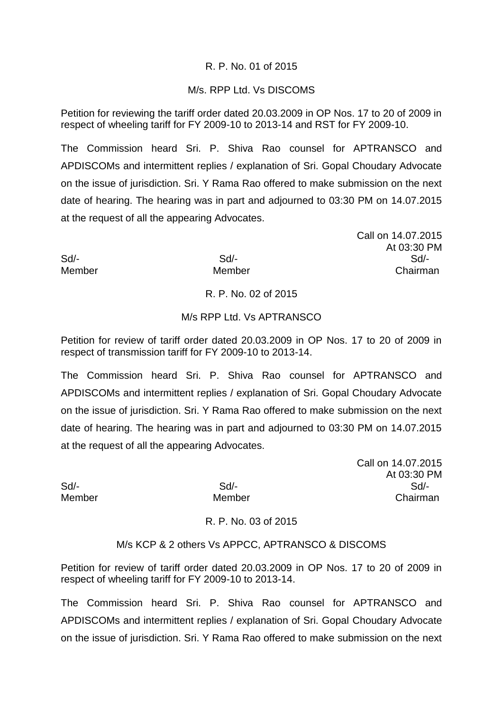## R. P. No. 01 of 2015

## M/s. RPP Ltd. Vs DISCOMS

Petition for reviewing the tariff order dated 20.03.2009 in OP Nos. 17 to 20 of 2009 in respect of wheeling tariff for FY 2009-10 to 2013-14 and RST for FY 2009-10.

The Commission heard Sri. P. Shiva Rao counsel for APTRANSCO and APDISCOMs and intermittent replies / explanation of Sri. Gopal Choudary Advocate on the issue of jurisdiction. Sri. Y Rama Rao offered to make submission on the next date of hearing. The hearing was in part and adjourned to 03:30 PM on 14.07.2015 at the request of all the appearing Advocates.

Call on 14.07.2015 At 03:30 PM Sd/- Sd/- Sd/- Member Member Chairman

## R. P. No. 02 of 2015

## M/s RPP Ltd. Vs APTRANSCO

Petition for review of tariff order dated 20.03.2009 in OP Nos. 17 to 20 of 2009 in respect of transmission tariff for FY 2009-10 to 2013-14.

The Commission heard Sri. P. Shiva Rao counsel for APTRANSCO and APDISCOMs and intermittent replies / explanation of Sri. Gopal Choudary Advocate on the issue of jurisdiction. Sri. Y Rama Rao offered to make submission on the next date of hearing. The hearing was in part and adjourned to 03:30 PM on 14.07.2015 at the request of all the appearing Advocates.

Call on 14.07.2015 At 03:30 PM Sd/- Sd/- Sd/- Member Member Chairman

## R. P. No. 03 of 2015

#### M/s KCP & 2 others Vs APPCC, APTRANSCO & DISCOMS

Petition for review of tariff order dated 20.03.2009 in OP Nos. 17 to 20 of 2009 in respect of wheeling tariff for FY 2009-10 to 2013-14.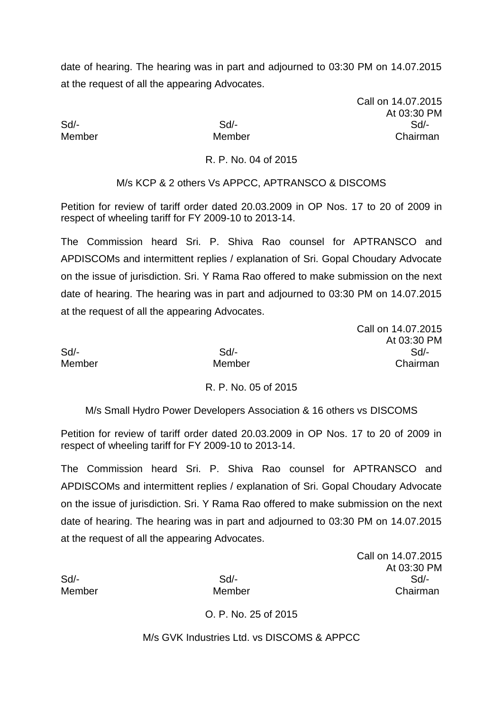Call on 14.07.2015 At 03:30 PM Sd/- Sd/- Sd/- Member Member Chairman

Call on 14.07.2015

#### R. P. No. 04 of 2015

M/s KCP & 2 others Vs APPCC, APTRANSCO & DISCOMS

Petition for review of tariff order dated 20.03.2009 in OP Nos. 17 to 20 of 2009 in respect of wheeling tariff for FY 2009-10 to 2013-14.

The Commission heard Sri. P. Shiva Rao counsel for APTRANSCO and APDISCOMs and intermittent replies / explanation of Sri. Gopal Choudary Advocate on the issue of jurisdiction. Sri. Y Rama Rao offered to make submission on the next date of hearing. The hearing was in part and adjourned to 03:30 PM on 14.07.2015 at the request of all the appearing Advocates.

| <u>UU 211 17.07.2010</u> |
|--------------------------|
| At 03:30 PM              |
| Sd                       |
| Chairman                 |
|                          |

## R. P. No. 05 of 2015

M/s Small Hydro Power Developers Association & 16 others vs DISCOMS

Petition for review of tariff order dated 20.03.2009 in OP Nos. 17 to 20 of 2009 in respect of wheeling tariff for FY 2009-10 to 2013-14.

The Commission heard Sri. P. Shiva Rao counsel for APTRANSCO and APDISCOMs and intermittent replies / explanation of Sri. Gopal Choudary Advocate on the issue of jurisdiction. Sri. Y Rama Rao offered to make submission on the next date of hearing. The hearing was in part and adjourned to 03:30 PM on 14.07.2015 at the request of all the appearing Advocates.

Call on 14.07.2015 At 03:30 PM Sd/- Sd/- Sd/- Member Member Chairman

O. P. No. 25 of 2015

M/s GVK Industries Ltd. vs DISCOMS & APPCC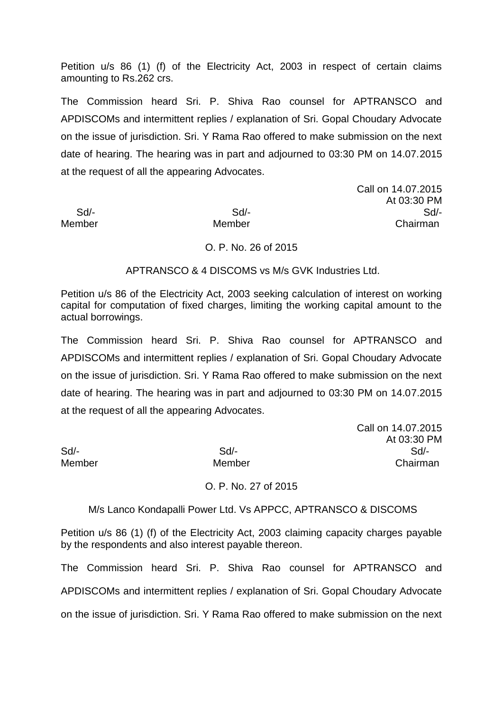Petition u/s 86 (1) (f) of the Electricity Act, 2003 in respect of certain claims amounting to Rs.262 crs.

The Commission heard Sri. P. Shiva Rao counsel for APTRANSCO and APDISCOMs and intermittent replies / explanation of Sri. Gopal Choudary Advocate on the issue of jurisdiction. Sri. Y Rama Rao offered to make submission on the next date of hearing. The hearing was in part and adjourned to 03:30 PM on 14.07.2015 at the request of all the appearing Advocates.

Call on 14.07.2015 At 03:30 PM Sd/- Sd/- Sd/- Member Member Chairman

## O. P. No. 26 of 2015

APTRANSCO & 4 DISCOMS vs M/s GVK Industries Ltd.

Petition u/s 86 of the Electricity Act, 2003 seeking calculation of interest on working capital for computation of fixed charges, limiting the working capital amount to the actual borrowings.

The Commission heard Sri. P. Shiva Rao counsel for APTRANSCO and APDISCOMs and intermittent replies / explanation of Sri. Gopal Choudary Advocate on the issue of jurisdiction. Sri. Y Rama Rao offered to make submission on the next date of hearing. The hearing was in part and adjourned to 03:30 PM on 14.07.2015 at the request of all the appearing Advocates.

|        |        | Call on 14.07.2015 |
|--------|--------|--------------------|
|        |        | At 03:30 PM        |
| Sd/-   | $Sd$ - | Sd                 |
| Member | Member | Chairman           |
|        |        |                    |

## O. P. No. 27 of 2015

## M/s Lanco Kondapalli Power Ltd. Vs APPCC, APTRANSCO & DISCOMS

Petition u/s 86 (1) (f) of the Electricity Act, 2003 claiming capacity charges payable by the respondents and also interest payable thereon.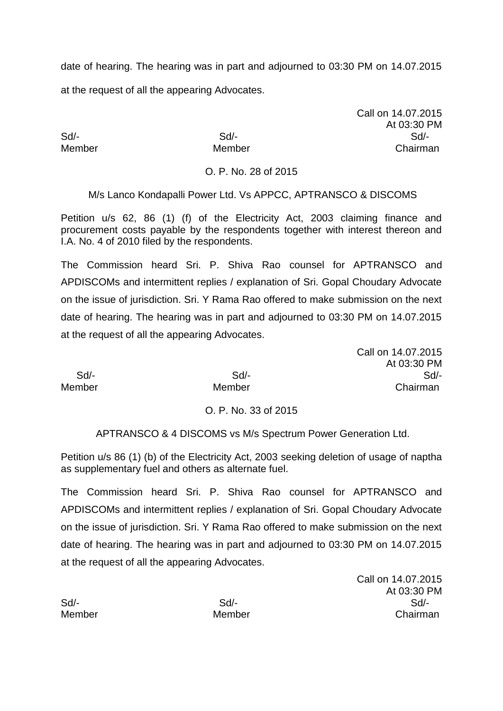Call on 14.07.2015 At 03:30 PM Sd/- Sd/- Sd/- Member Member Chairman

## O. P. No. 28 of 2015

M/s Lanco Kondapalli Power Ltd. Vs APPCC, APTRANSCO & DISCOMS

Petition u/s 62, 86 (1) (f) of the Electricity Act, 2003 claiming finance and procurement costs payable by the respondents together with interest thereon and I.A. No. 4 of 2010 filed by the respondents.

The Commission heard Sri. P. Shiva Rao counsel for APTRANSCO and APDISCOMs and intermittent replies / explanation of Sri. Gopal Choudary Advocate on the issue of jurisdiction. Sri. Y Rama Rao offered to make submission on the next date of hearing. The hearing was in part and adjourned to 03:30 PM on 14.07.2015 at the request of all the appearing Advocates.

Call on 14.07.2015 At 03:30 PM Sd/- Sd/- Sd/- Member Member Chairman

## O. P. No. 33 of 2015

APTRANSCO & 4 DISCOMS vs M/s Spectrum Power Generation Ltd.

Petition u/s 86 (1) (b) of the Electricity Act, 2003 seeking deletion of usage of naptha as supplementary fuel and others as alternate fuel.

The Commission heard Sri. P. Shiva Rao counsel for APTRANSCO and APDISCOMs and intermittent replies / explanation of Sri. Gopal Choudary Advocate on the issue of jurisdiction. Sri. Y Rama Rao offered to make submission on the next date of hearing. The hearing was in part and adjourned to 03:30 PM on 14.07.2015 at the request of all the appearing Advocates.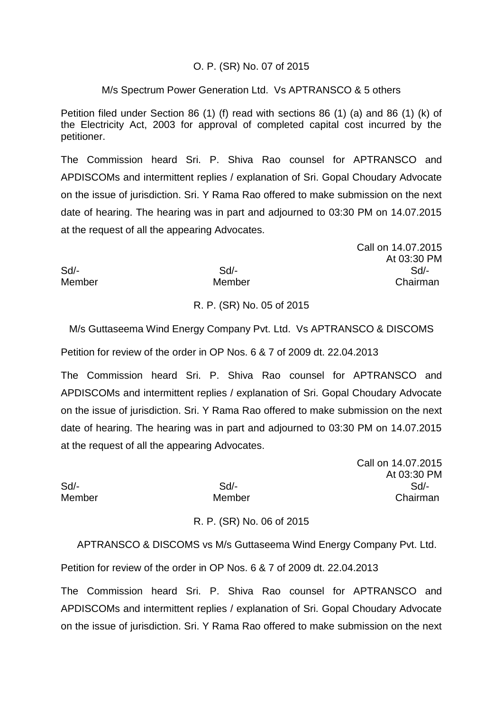### O. P. (SR) No. 07 of 2015

#### M/s Spectrum Power Generation Ltd. Vs APTRANSCO & 5 others

Petition filed under Section 86 (1) (f) read with sections 86 (1) (a) and 86 (1) (k) of the Electricity Act, 2003 for approval of completed capital cost incurred by the petitioner.

The Commission heard Sri. P. Shiva Rao counsel for APTRANSCO and APDISCOMs and intermittent replies / explanation of Sri. Gopal Choudary Advocate on the issue of jurisdiction. Sri. Y Rama Rao offered to make submission on the next date of hearing. The hearing was in part and adjourned to 03:30 PM on 14.07.2015 at the request of all the appearing Advocates.

|        | Call on 14.07.2015 |
|--------|--------------------|
|        | At 03:30 PM        |
| $Sd$ - | Sd                 |
| Member | Chairman           |
|        |                    |

## R. P. (SR) No. 05 of 2015

M/s Guttaseema Wind Energy Company Pvt. Ltd. Vs APTRANSCO & DISCOMS

Petition for review of the order in OP Nos. 6 & 7 of 2009 dt. 22.04.2013

The Commission heard Sri. P. Shiva Rao counsel for APTRANSCO and APDISCOMs and intermittent replies / explanation of Sri. Gopal Choudary Advocate on the issue of jurisdiction. Sri. Y Rama Rao offered to make submission on the next date of hearing. The hearing was in part and adjourned to 03:30 PM on 14.07.2015 at the request of all the appearing Advocates.

Call on 14.07.2015 At 03:30 PM Sd/- Sd/- Sd/- Member Member Chairman

R. P. (SR) No. 06 of 2015

APTRANSCO & DISCOMS vs M/s Guttaseema Wind Energy Company Pvt. Ltd.

Petition for review of the order in OP Nos. 6 & 7 of 2009 dt. 22.04.2013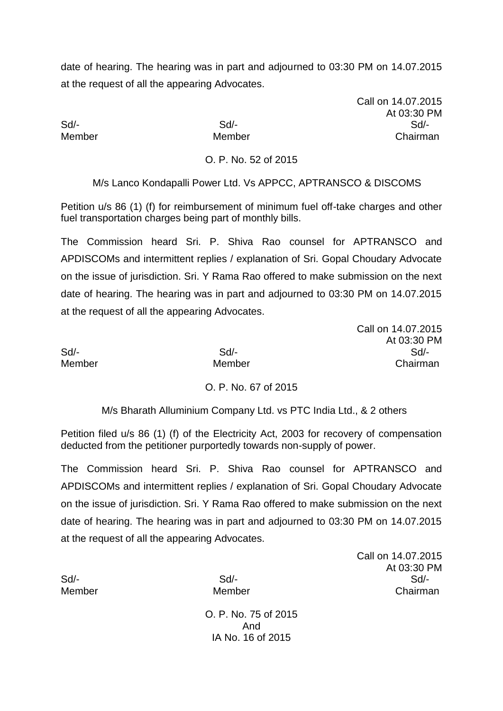Call on 14.07.2015 At 03:30 PM Sd/- Sd/- Sd/- Member Member Chairman

Call on 14.07.2015

#### O. P. No. 52 of 2015

M/s Lanco Kondapalli Power Ltd. Vs APPCC, APTRANSCO & DISCOMS

Petition u/s 86 (1) (f) for reimbursement of minimum fuel off-take charges and other fuel transportation charges being part of monthly bills.

The Commission heard Sri. P. Shiva Rao counsel for APTRANSCO and APDISCOMs and intermittent replies / explanation of Sri. Gopal Choudary Advocate on the issue of jurisdiction. Sri. Y Rama Rao offered to make submission on the next date of hearing. The hearing was in part and adjourned to 03:30 PM on 14.07.2015 at the request of all the appearing Advocates.

|        | <b>PULLED 17.91.4010</b> |
|--------|--------------------------|
|        | At 03:30 PM              |
| $Sd$ - | $Sd$ -                   |
| Member | Chairman                 |
|        |                          |

## O. P. No. 67 of 2015

M/s Bharath Alluminium Company Ltd. vs PTC India Ltd., & 2 others

Petition filed u/s 86 (1) (f) of the Electricity Act, 2003 for recovery of compensation deducted from the petitioner purportedly towards non-supply of power.

The Commission heard Sri. P. Shiva Rao counsel for APTRANSCO and APDISCOMs and intermittent replies / explanation of Sri. Gopal Choudary Advocate on the issue of jurisdiction. Sri. Y Rama Rao offered to make submission on the next date of hearing. The hearing was in part and adjourned to 03:30 PM on 14.07.2015 at the request of all the appearing Advocates.

Call on 14.07.2015 At 03:30 PM Sd/- Sd/- Sd/- Member Member Chairman

O. P. No. 75 of 2015 And IA No. 16 of 2015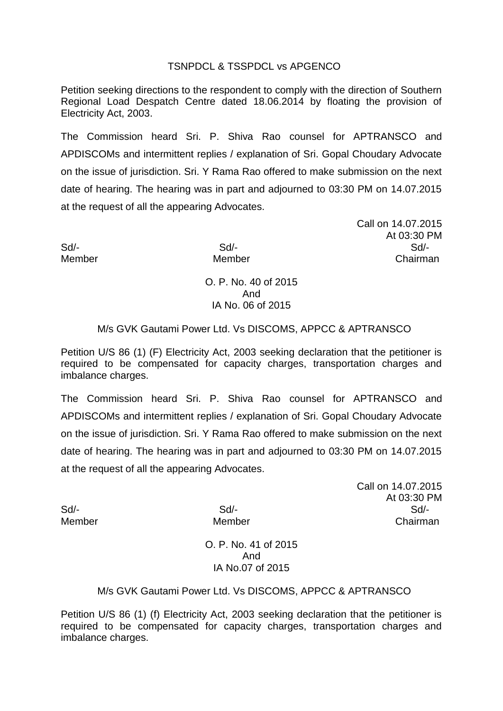## TSNPDCL & TSSPDCL vs APGENCO

Petition seeking directions to the respondent to comply with the direction of Southern Regional Load Despatch Centre dated 18.06.2014 by floating the provision of Electricity Act, 2003.

The Commission heard Sri. P. Shiva Rao counsel for APTRANSCO and APDISCOMs and intermittent replies / explanation of Sri. Gopal Choudary Advocate on the issue of jurisdiction. Sri. Y Rama Rao offered to make submission on the next date of hearing. The hearing was in part and adjourned to 03:30 PM on 14.07.2015 at the request of all the appearing Advocates.

Call on 14.07.2015 At 03:30 PM Sd/- Sd/- Sd/- Member Member Chairman

> O. P. No. 40 of 2015 And IA No. 06 of 2015

#### M/s GVK Gautami Power Ltd. Vs DISCOMS, APPCC & APTRANSCO

Petition U/S 86 (1) (F) Electricity Act, 2003 seeking declaration that the petitioner is required to be compensated for capacity charges, transportation charges and imbalance charges.

The Commission heard Sri. P. Shiva Rao counsel for APTRANSCO and APDISCOMs and intermittent replies / explanation of Sri. Gopal Choudary Advocate on the issue of jurisdiction. Sri. Y Rama Rao offered to make submission on the next date of hearing. The hearing was in part and adjourned to 03:30 PM on 14.07.2015 at the request of all the appearing Advocates.

Call on 14.07.2015 At 03:30 PM Sd/- Sd/- Sd/- Member Member Chairman

> O. P. No. 41 of 2015 And IA No.07 of 2015

#### M/s GVK Gautami Power Ltd. Vs DISCOMS, APPCC & APTRANSCO

Petition U/S 86 (1) (f) Electricity Act, 2003 seeking declaration that the petitioner is required to be compensated for capacity charges, transportation charges and imbalance charges.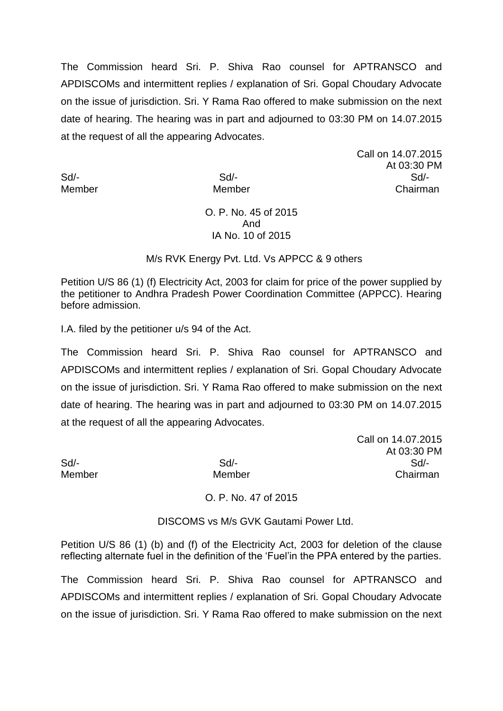The Commission heard Sri. P. Shiva Rao counsel for APTRANSCO and APDISCOMs and intermittent replies / explanation of Sri. Gopal Choudary Advocate on the issue of jurisdiction. Sri. Y Rama Rao offered to make submission on the next date of hearing. The hearing was in part and adjourned to 03:30 PM on 14.07.2015 at the request of all the appearing Advocates.

Call on 14.07.2015 At 03:30 PM Sd/- Sd/- Sd/- Member Member Chairman

## O. P. No. 45 of 2015 And IA No. 10 of 2015

## M/s RVK Energy Pvt. Ltd. Vs APPCC & 9 others

Petition U/S 86 (1) (f) Electricity Act, 2003 for claim for price of the power supplied by the petitioner to Andhra Pradesh Power Coordination Committee (APPCC). Hearing before admission.

I.A. filed by the petitioner u/s 94 of the Act.

The Commission heard Sri. P. Shiva Rao counsel for APTRANSCO and APDISCOMs and intermittent replies / explanation of Sri. Gopal Choudary Advocate on the issue of jurisdiction. Sri. Y Rama Rao offered to make submission on the next date of hearing. The hearing was in part and adjourned to 03:30 PM on 14.07.2015 at the request of all the appearing Advocates.

Call on 14.07.2015 At 03:30 PM Sd/- Sd/- Sd/- Member Member Chairman

O. P. No. 47 of 2015

## DISCOMS vs M/s GVK Gautami Power Ltd.

Petition U/S 86 (1) (b) and (f) of the Electricity Act, 2003 for deletion of the clause reflecting alternate fuel in the definition of the 'Fuel'in the PPA entered by the parties.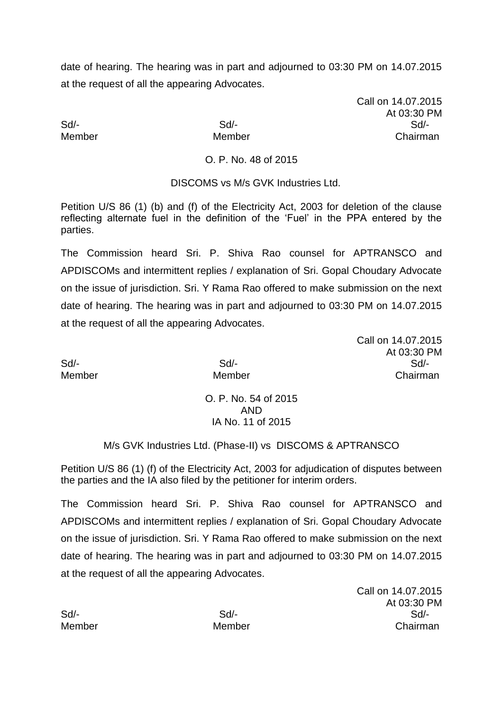Call on 14.07.2015 At 03:30 PM Sd/- Sd/- Sd/- Member Member Chairman

## O. P. No. 48 of 2015

DISCOMS vs M/s GVK Industries Ltd.

Petition U/S 86 (1) (b) and (f) of the Electricity Act, 2003 for deletion of the clause reflecting alternate fuel in the definition of the 'Fuel' in the PPA entered by the parties.

The Commission heard Sri. P. Shiva Rao counsel for APTRANSCO and APDISCOMs and intermittent replies / explanation of Sri. Gopal Choudary Advocate on the issue of jurisdiction. Sri. Y Rama Rao offered to make submission on the next date of hearing. The hearing was in part and adjourned to 03:30 PM on 14.07.2015 at the request of all the appearing Advocates.

Call on 14.07.2015 At 03:30 PM Sd/- Sd/- Sd/- Member Member Chairman

> O. P. No. 54 of 2015 AND IA No. 11 of 2015

M/s GVK Industries Ltd. (Phase-II) vs DISCOMS & APTRANSCO

Petition U/S 86 (1) (f) of the Electricity Act, 2003 for adjudication of disputes between the parties and the IA also filed by the petitioner for interim orders.

The Commission heard Sri. P. Shiva Rao counsel for APTRANSCO and APDISCOMs and intermittent replies / explanation of Sri. Gopal Choudary Advocate on the issue of jurisdiction. Sri. Y Rama Rao offered to make submission on the next date of hearing. The hearing was in part and adjourned to 03:30 PM on 14.07.2015 at the request of all the appearing Advocates.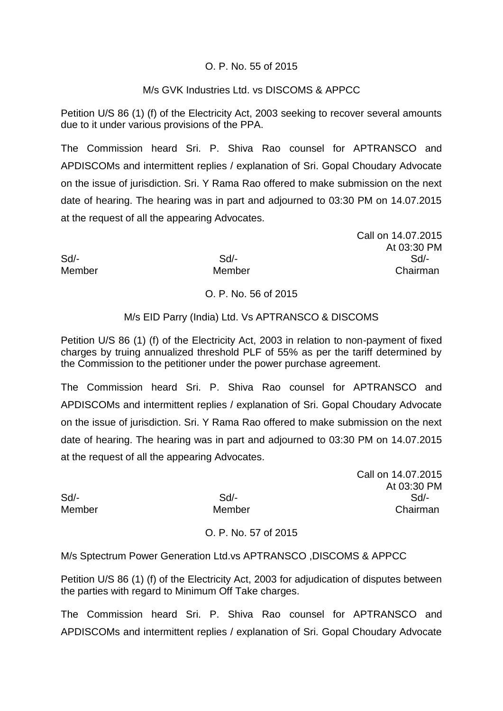## O. P. No. 55 of 2015

## M/s GVK Industries Ltd. vs DISCOMS & APPCC

Petition U/S 86 (1) (f) of the Electricity Act, 2003 seeking to recover several amounts due to it under various provisions of the PPA.

The Commission heard Sri. P. Shiva Rao counsel for APTRANSCO and APDISCOMs and intermittent replies / explanation of Sri. Gopal Choudary Advocate on the issue of jurisdiction. Sri. Y Rama Rao offered to make submission on the next date of hearing. The hearing was in part and adjourned to 03:30 PM on 14.07.2015 at the request of all the appearing Advocates.

Call on 14.07.2015 At 03:30 PM Sd/- Sd/- Sd/- Member Member Chairman

## O. P. No. 56 of 2015

## M/s EID Parry (India) Ltd. Vs APTRANSCO & DISCOMS

Petition U/S 86 (1) (f) of the Electricity Act, 2003 in relation to non-payment of fixed charges by truing annualized threshold PLF of 55% as per the tariff determined by the Commission to the petitioner under the power purchase agreement.

The Commission heard Sri. P. Shiva Rao counsel for APTRANSCO and APDISCOMs and intermittent replies / explanation of Sri. Gopal Choudary Advocate on the issue of jurisdiction. Sri. Y Rama Rao offered to make submission on the next date of hearing. The hearing was in part and adjourned to 03:30 PM on 14.07.2015 at the request of all the appearing Advocates.

Call on 14.07.2015 At 03:30 PM Sd/- Sd/- Sd/- Member Member Chairman

## O. P. No. 57 of 2015

M/s Sptectrum Power Generation Ltd.vs APTRANSCO ,DISCOMS & APPCC

Petition U/S 86 (1) (f) of the Electricity Act, 2003 for adjudication of disputes between the parties with regard to Minimum Off Take charges.

The Commission heard Sri. P. Shiva Rao counsel for APTRANSCO and APDISCOMs and intermittent replies / explanation of Sri. Gopal Choudary Advocate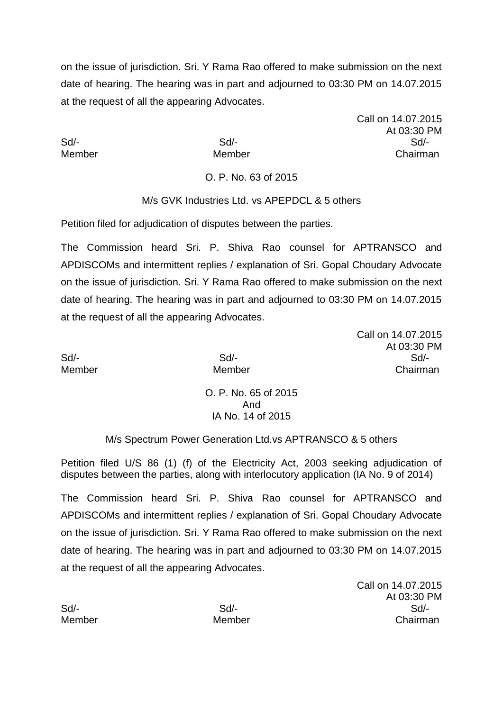on the issue of jurisdiction. Sri. Y Rama Rao offered to make submission on the next date of hearing. The hearing was in part and adjourned to 03:30 PM on 14.07.2015 at the request of all the appearing Advocates.

Call on 14.07.2015 At 03:30 PM Sd/- Sd/- Sd/- Member Member Chairman

O. P. No. 63 of 2015

# M/s GVK Industries Ltd. vs APEPDCL & 5 others

Petition filed for adjudication of disputes between the parties.

The Commission heard Sri. P. Shiva Rao counsel for APTRANSCO and APDISCOMs and intermittent replies / explanation of Sri. Gopal Choudary Advocate on the issue of jurisdiction. Sri. Y Rama Rao offered to make submission on the next date of hearing. The hearing was in part and adjourned to 03:30 PM on 14.07.2015 at the request of all the appearing Advocates.

Call on 14.07.2015 At 03:30 PM Sd/- Sd/- Sd/- Member Member Chairman

> O. P. No. 65 of 2015 And IA No. 14 of 2015

## M/s Spectrum Power Generation Ltd.vs APTRANSCO & 5 others

Petition filed U/S 86 (1) (f) of the Electricity Act, 2003 seeking adjudication of disputes between the parties, along with interlocutory application (IA No. 9 of 2014)

The Commission heard Sri. P. Shiva Rao counsel for APTRANSCO and APDISCOMs and intermittent replies / explanation of Sri. Gopal Choudary Advocate on the issue of jurisdiction. Sri. Y Rama Rao offered to make submission on the next date of hearing. The hearing was in part and adjourned to 03:30 PM on 14.07.2015 at the request of all the appearing Advocates.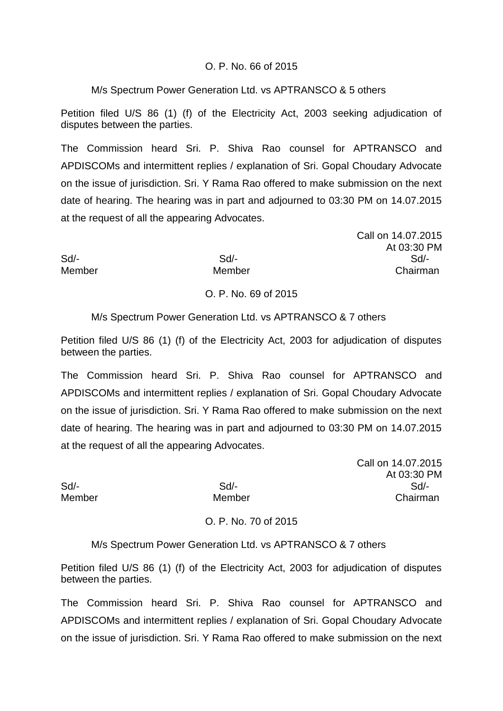### O. P. No. 66 of 2015

#### M/s Spectrum Power Generation Ltd. vs APTRANSCO & 5 others

Petition filed U/S 86 (1) (f) of the Electricity Act, 2003 seeking adjudication of disputes between the parties.

The Commission heard Sri. P. Shiva Rao counsel for APTRANSCO and APDISCOMs and intermittent replies / explanation of Sri. Gopal Choudary Advocate on the issue of jurisdiction. Sri. Y Rama Rao offered to make submission on the next date of hearing. The hearing was in part and adjourned to 03:30 PM on 14.07.2015 at the request of all the appearing Advocates.

Call on 14.07.2015 At 03:30 PM Sd/- Sd/- Sd/- Member Member Chairman

## O. P. No. 69 of 2015

M/s Spectrum Power Generation Ltd. vs APTRANSCO & 7 others

Petition filed U/S 86 (1) (f) of the Electricity Act, 2003 for adjudication of disputes between the parties.

The Commission heard Sri. P. Shiva Rao counsel for APTRANSCO and APDISCOMs and intermittent replies / explanation of Sri. Gopal Choudary Advocate on the issue of jurisdiction. Sri. Y Rama Rao offered to make submission on the next date of hearing. The hearing was in part and adjourned to 03:30 PM on 14.07.2015 at the request of all the appearing Advocates.

Call on 14.07.2015 At 03:30 PM Sd/- Sd/- Sd/- Member Member Chairman

O. P. No. 70 of 2015

M/s Spectrum Power Generation Ltd. vs APTRANSCO & 7 others

Petition filed U/S 86 (1) (f) of the Electricity Act, 2003 for adjudication of disputes between the parties.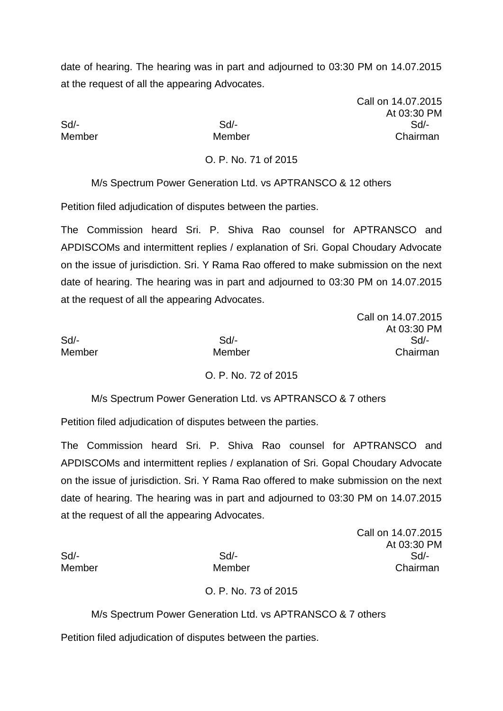Call on 14.07.2015 At 03:30 PM Sd/- Sd/- Sd/- Member Member Chairman

O. P. No. 71 of 2015

M/s Spectrum Power Generation Ltd. vs APTRANSCO & 12 others

Petition filed adjudication of disputes between the parties.

The Commission heard Sri. P. Shiva Rao counsel for APTRANSCO and APDISCOMs and intermittent replies / explanation of Sri. Gopal Choudary Advocate on the issue of jurisdiction. Sri. Y Rama Rao offered to make submission on the next date of hearing. The hearing was in part and adjourned to 03:30 PM on 14.07.2015 at the request of all the appearing Advocates.

|        |        | Call on 14.07.2015 |  |
|--------|--------|--------------------|--|
|        |        | At 03:30 PM        |  |
| Sd/-   | $Sd$ - | $Sd$ -             |  |
| Member | Member | Chairman           |  |

# O. P. No. 72 of 2015

M/s Spectrum Power Generation Ltd. vs APTRANSCO & 7 others

Petition filed adjudication of disputes between the parties.

The Commission heard Sri. P. Shiva Rao counsel for APTRANSCO and APDISCOMs and intermittent replies / explanation of Sri. Gopal Choudary Advocate on the issue of jurisdiction. Sri. Y Rama Rao offered to make submission on the next date of hearing. The hearing was in part and adjourned to 03:30 PM on 14.07.2015 at the request of all the appearing Advocates.

Call on 14.07.2015 At 03:30 PM Sd/- Sd/- Sd/- Member Member Chairman

# O. P. No. 73 of 2015

M/s Spectrum Power Generation Ltd. vs APTRANSCO & 7 others

Petition filed adjudication of disputes between the parties.